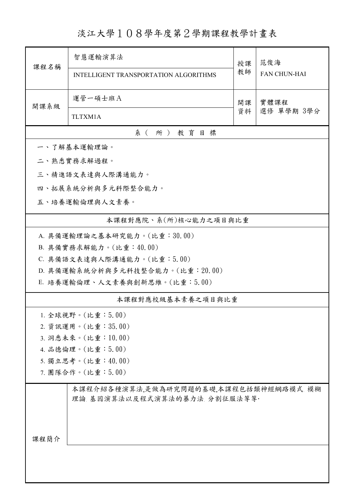淡江大學108學年度第2學期課程教學計畫表

| 課程名稱                                                                                                                                                                                                                     | 智慧運輸演算法<br><b>INTELLIGENT TRANSPORTATION ALGORITHMS</b>               | 授課<br>教師 | 范俊海<br><b>FAN CHUN-HAI</b> |  |  |  |  |  |
|--------------------------------------------------------------------------------------------------------------------------------------------------------------------------------------------------------------------------|-----------------------------------------------------------------------|----------|----------------------------|--|--|--|--|--|
| 開課系級                                                                                                                                                                                                                     | 運管一碩士班A<br>TLTXM1A                                                    | 開課<br>資料 | 實體課程<br>選修 單學期 3學分         |  |  |  |  |  |
|                                                                                                                                                                                                                          | 系(所)教育目標                                                              |          |                            |  |  |  |  |  |
|                                                                                                                                                                                                                          | 一、了解基本運輸理論。                                                           |          |                            |  |  |  |  |  |
|                                                                                                                                                                                                                          | 二、熟悉實務求解過程。                                                           |          |                            |  |  |  |  |  |
|                                                                                                                                                                                                                          | 三、精進語文表達與人際溝通能力。                                                      |          |                            |  |  |  |  |  |
|                                                                                                                                                                                                                          | 四、拓展系統分析與多元科際整合能力。                                                    |          |                            |  |  |  |  |  |
| 五、培養運輸倫理與人文素養。                                                                                                                                                                                                           |                                                                       |          |                            |  |  |  |  |  |
|                                                                                                                                                                                                                          | 本課程對應院、系(所)核心能力之項目與比重                                                 |          |                            |  |  |  |  |  |
| A. 具備運輸理論之基本研究能力。(比重:30.00)<br>B. 具備實務求解能力。(比重:40.00)<br>C. 具備語文表達與人際溝通能力。(比重:5.00)<br>D. 具備運輸系統分析與多元科技整合能力。(比重: 20.00)<br>E. 培養運輸倫理、人文素養與創新思維。(比重:5.00)<br>本課程對應校級基本素養之項目與比重<br>1. 全球視野。(比重:5.00)<br>2. 資訊運用。(比重:35.00) |                                                                       |          |                            |  |  |  |  |  |
|                                                                                                                                                                                                                          | 3. 洞悉未來。(比重:10.00)                                                    |          |                            |  |  |  |  |  |
| 4. 品德倫理。(比重:5.00)                                                                                                                                                                                                        |                                                                       |          |                            |  |  |  |  |  |
|                                                                                                                                                                                                                          | 5. 獨立思考。(比重:40.00)                                                    |          |                            |  |  |  |  |  |
|                                                                                                                                                                                                                          | 7. 團隊合作。(比重:5.00)                                                     |          |                            |  |  |  |  |  |
| 课程简介                                                                                                                                                                                                                     | 本課程介紹各種演算法,是做為研究問題的基礎,本課程包括類神經網路模式,模糊<br>理論 基因演算法以及程式演算法的暴力法、分割征服法等等· |          |                            |  |  |  |  |  |
|                                                                                                                                                                                                                          |                                                                       |          |                            |  |  |  |  |  |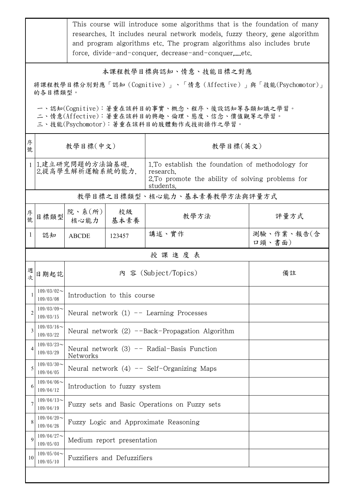|                                                                                                                                                                                                                                            | This course will introduce some algorithms that is the foundation of many<br>researches. It includes neural network models, fuzzy theory, gene algorithm<br>and program algorithms etc. The program algorithms also includes brute<br>force, divide-and-conquer, decrease-and-conquer,etc. |                                                           |            |                                                                                                                                  |                      |  |  |
|--------------------------------------------------------------------------------------------------------------------------------------------------------------------------------------------------------------------------------------------|--------------------------------------------------------------------------------------------------------------------------------------------------------------------------------------------------------------------------------------------------------------------------------------------|-----------------------------------------------------------|------------|----------------------------------------------------------------------------------------------------------------------------------|----------------------|--|--|
| 本課程教學目標與認知、情意、技能目標之對應<br>將課程教學目標分別對應「認知(Cognitive)」、「情意(Affective)」與「技能(Psychomotor)」<br>的各目標類型。<br>一、認知(Cognitive):著重在該科目的事實、概念、程序、後設認知等各類知識之學習。<br>二、情意(Affective):著重在該科目的興趣、倫理、態度、信念、價值觀等之學習。<br>三、技能(Psychomotor):著重在該科目的肢體動作或技術操作之學習。 |                                                                                                                                                                                                                                                                                            |                                                           |            |                                                                                                                                  |                      |  |  |
| 序<br>號                                                                                                                                                                                                                                     |                                                                                                                                                                                                                                                                                            | 教學目標(中文)                                                  |            | 教學目標(英文)                                                                                                                         |                      |  |  |
|                                                                                                                                                                                                                                            | 1.建立研究問題的方法論基礎.<br>2.提高學生解析運輸系統的能力.                                                                                                                                                                                                                                                        |                                                           |            | 1. To establish the foundation of methodology for<br>research.<br>2. To promote the ability of solving problems for<br>students. |                      |  |  |
|                                                                                                                                                                                                                                            |                                                                                                                                                                                                                                                                                            |                                                           |            | 教學目標之目標類型、核心能力、基本素養教學方法與評量方式                                                                                                     |                      |  |  |
| 序<br>號                                                                                                                                                                                                                                     | 目標類型                                                                                                                                                                                                                                                                                       | 院、系(所)<br>核心能力                                            | 校級<br>基本素養 | 教學方法                                                                                                                             | 評量方式                 |  |  |
| 1                                                                                                                                                                                                                                          | 認知                                                                                                                                                                                                                                                                                         | <b>ABCDE</b>                                              | 123457     | 講述、實作                                                                                                                            | 測驗、作業、報告(含<br>口頭、書面) |  |  |
|                                                                                                                                                                                                                                            |                                                                                                                                                                                                                                                                                            |                                                           |            | 授課進度表                                                                                                                            |                      |  |  |
| 週<br>次                                                                                                                                                                                                                                     | 日期起訖                                                                                                                                                                                                                                                                                       | 內 容 (Subject/Topics)                                      |            |                                                                                                                                  | 備註                   |  |  |
|                                                                                                                                                                                                                                            | $109/03/02$ ~<br>109/03/08                                                                                                                                                                                                                                                                 | Introduction to this course                               |            |                                                                                                                                  |                      |  |  |
| $\overline{2}$                                                                                                                                                                                                                             | $109/03/09$ ~<br>109/03/15                                                                                                                                                                                                                                                                 | Neural network $(1)$ -- Learning Processes                |            |                                                                                                                                  |                      |  |  |
| 3                                                                                                                                                                                                                                          | $109/03/16$ ~<br>109/03/22                                                                                                                                                                                                                                                                 | Neural network $(2)$ --Back-Propagation Algorithm         |            |                                                                                                                                  |                      |  |  |
| 4                                                                                                                                                                                                                                          | $109/03/23$ ~<br>109/03/29                                                                                                                                                                                                                                                                 | Neural network $(3)$ -- Radial-Basis Function<br>Networks |            |                                                                                                                                  |                      |  |  |
| 5                                                                                                                                                                                                                                          | $109/03/30$ ~<br>109/04/05                                                                                                                                                                                                                                                                 | Neural network $(4)$ -- Self-Organizing Maps              |            |                                                                                                                                  |                      |  |  |
| 6                                                                                                                                                                                                                                          | $109/04/06$ ~<br>109/04/12                                                                                                                                                                                                                                                                 | Introduction to fuzzy system                              |            |                                                                                                                                  |                      |  |  |
| 7                                                                                                                                                                                                                                          | $109/04/13$ ~<br>109/04/19                                                                                                                                                                                                                                                                 | Fuzzy sets and Basic Operations on Fuzzy sets             |            |                                                                                                                                  |                      |  |  |
| 8                                                                                                                                                                                                                                          | $109/04/20$ ~<br>109/04/26                                                                                                                                                                                                                                                                 | Fuzzy Logic and Approximate Reasoning                     |            |                                                                                                                                  |                      |  |  |
| 9                                                                                                                                                                                                                                          | $109/04/27$ ~<br>109/05/03                                                                                                                                                                                                                                                                 | Medium report presentation                                |            |                                                                                                                                  |                      |  |  |
| 10                                                                                                                                                                                                                                         | $109/05/04$ ~<br>109/05/10                                                                                                                                                                                                                                                                 | Fuzzifiers and Defuzzifiers                               |            |                                                                                                                                  |                      |  |  |
|                                                                                                                                                                                                                                            |                                                                                                                                                                                                                                                                                            |                                                           |            |                                                                                                                                  |                      |  |  |